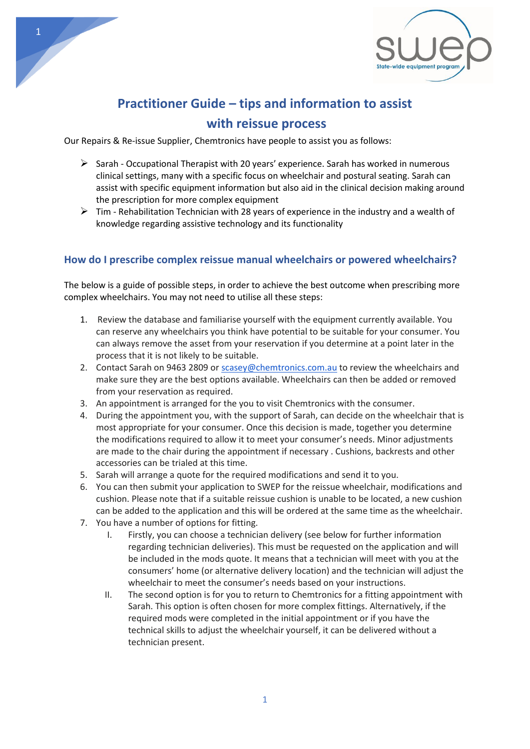

# **Practitioner Guide – tips and information to assist with reissue process**

Our Repairs & Re-issue Supplier, Chemtronics have people to assist you as follows:

- $\triangleright$  Sarah Occupational Therapist with 20 years' experience. Sarah has worked in numerous clinical settings, many with a specific focus on wheelchair and postural seating. Sarah can assist with specific equipment information but also aid in the clinical decision making around the prescription for more complex equipment
- $\triangleright$  Tim Rehabilitation Technician with 28 years of experience in the industry and a wealth of knowledge regarding assistive technology and its functionality

### **How do I prescribe complex reissue manual wheelchairs or powered wheelchairs?**

The below is a guide of possible steps, in order to achieve the best outcome when prescribing more complex wheelchairs. You may not need to utilise all these steps:

- 1. Review the database and familiarise yourself with the equipment currently available. You can reserve any wheelchairs you think have potential to be suitable for your consumer. You can always remove the asset from your reservation if you determine at a point later in the process that it is not likely to be suitable.
- 2. Contact Sarah on 9463 2809 o[r scasey@chemtronics.com.au](mailto:scasey@chemtronics.com.au) to review the wheelchairs and make sure they are the best options available. Wheelchairs can then be added or removed from your reservation as required.
- 3. An appointment is arranged for the you to visit Chemtronics with the consumer.
- 4. During the appointment you, with the support of Sarah, can decide on the wheelchair that is most appropriate for your consumer. Once this decision is made, together you determine the modifications required to allow it to meet your consumer's needs. Minor adjustments are made to the chair during the appointment if necessary . Cushions, backrests and other accessories can be trialed at this time.
- 5. Sarah will arrange a quote for the required modifications and send it to you.
- 6. You can then submit your application to SWEP for the reissue wheelchair, modifications and cushion. Please note that if a suitable reissue cushion is unable to be located, a new cushion can be added to the application and this will be ordered at the same time as the wheelchair.
- 7. You have a number of options for fitting.
	- I. Firstly, you can choose a technician delivery (see below for further information regarding technician deliveries). This must be requested on the application and will be included in the mods quote. It means that a technician will meet with you at the consumers' home (or alternative delivery location) and the technician will adjust the wheelchair to meet the consumer's needs based on your instructions.
	- II. The second option is for you to return to Chemtronics for a fitting appointment with Sarah. This option is often chosen for more complex fittings. Alternatively, if the required mods were completed in the initial appointment or if you have the technical skills to adjust the wheelchair yourself, it can be delivered without a technician present.